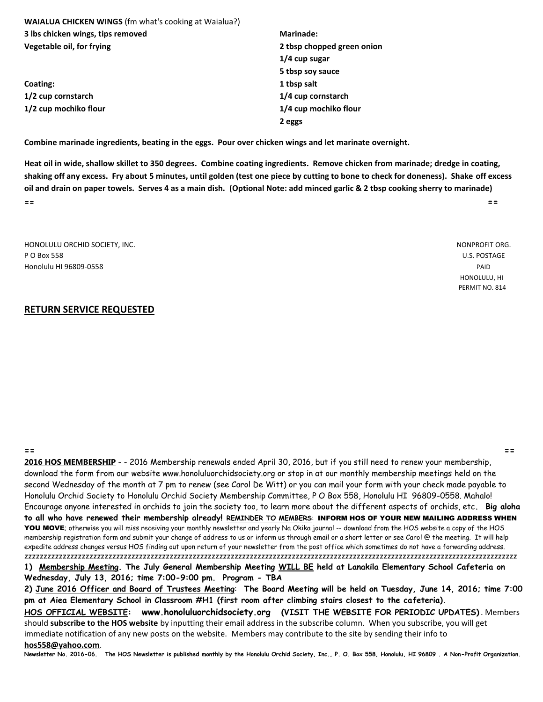| <b>Marinade:</b>           |  |
|----------------------------|--|
| 2 tbsp chopped green onion |  |
| $1/4$ cup sugar            |  |
| 5 tbsp soy sauce           |  |
| 1 tbsp salt                |  |
| 1/4 cup cornstarch         |  |
| 1/4 cup mochiko flour      |  |
| 2 eggs                     |  |
|                            |  |

**Combine marinade ingredients, beating in the eggs. Pour over chicken wings and let marinate overnight.**

**Heat oil in wide, shallow skillet to 350 degrees. Combine coating ingredients. Remove chicken from marinade; dredge in coating, shaking off any excess. Fry about 5 minutes, until golden (test one piece by cutting to bone to check for doneness). Shake off excess oil and drain on paper towels. Serves 4 as a main dish. (Optional Note: add minced garlic & 2 tbsp cooking sherry to marinade) == ==**

| HONOLULU ORCHID SOCIETY, INC. | NONPROFIT ORG. |
|-------------------------------|----------------|
| P O Box 558                   | U.S. POSTAGE   |
| Honolulu HI 96809-0558        | PAID           |
|                               | HONOLULU, HI   |

#### **RETURN SERVICE REQUESTED**

**== ==**

**2016 HOS MEMBERSHIP** - - 2016 Membership renewals ended April 30, 2016, but if you still need to renew your membership, download the form from our website www.honoluluorchidsociety.org or stop in at our monthly membership meetings held on the second Wednesday of the month at 7 pm to renew (see Carol De Witt) or you can mail your form with your check made payable to Honolulu Orchid Society to Honolulu Orchid Society Membership Committee, P O Box 558, Honolulu HI 96809-0558. Mahalo! Encourage anyone interested in orchids to join the society too, to learn more about the different aspects of orchids, etc**. Big aloha to all who have renewed their membership already! REMINDER TO MEMBERS**: INFORM HOS OF YOUR NEW MAILING ADDRESS WHEN YOU MOVE; otherwise you will miss receiving your monthly newsletter and yearly Na Okika journal -- download from the HOS website a copy of the HOS membership registration form and submit your change of address to us or inform us through email or a short letter or see Carol @ the meeting. It will help expedite address changes versus HOS finding out upon return of your newsletter from the post office which sometimes do not have a forwarding address. zzzzzzzzzzzzzzzzzzzzzzzzzzzzzzzzzzzzzzzzzzzzzzzzzzzzzzzzzzzzzzzzzzzzzzzzzzzzzzzzzzzzzzzzzzzzzzzzzzzzzzzzzzzzzzzzzzzzzzzzzzzzzzzzz **1) Membership Meeting. The July General Membership Meeting WILL BE held at Lanakila Elementary School Cafeteria on**

**Wednesday, July 13, 2016; time 7:00-9:00 pm. Program - TBA**

**2) June 2016 Officer and Board of Trustees Meeting**: **The Board Meeting will be held on Tuesday, June 14, 2016; time 7:00 pm at Aiea Elementary School in Classroom #H1 (first room after climbing stairs closest to the cafeteria). HOS OFFICIAL WEBSITE: www.honoluluorchidsociety.org (VISIT THE WEBSITE FOR PERIODIC UPDATES)** . Members

should **subscribe to the HOS website** by inputting their email address in the subscribe column. When you subscribe, you will get immediate notification of any new posts on the website. Members may contribute to the site by sending their info to **hos558@yahoo.com**.

**Newsletter No. 2016-06. The HOS Newsletter is published monthly by the Honolulu Orchid Society, Inc., P. O. Box 558, Honolulu, HI 96809 . A Non-Profit Organization.** 

PERMIT NO. 814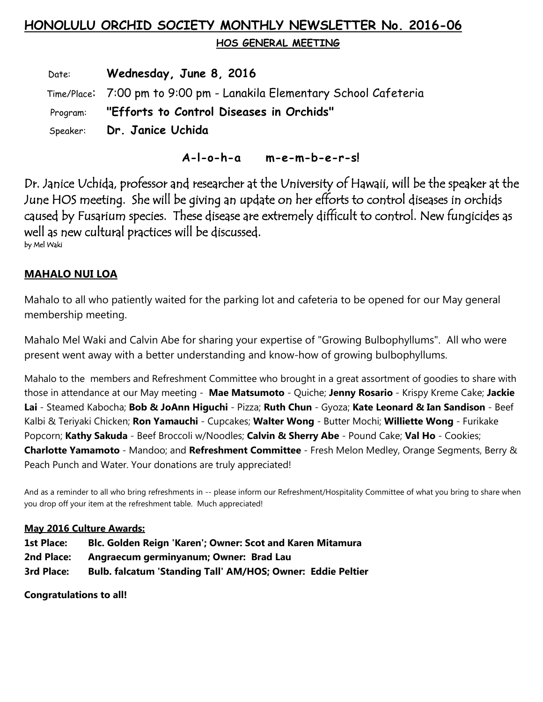# **HONOLULU ORCHID SOCIETY MONTHLY NEWSLETTER No. 2016-06**

 **HOS GENERAL MEETING** 

 Date: **Wednesday, June 8, 2016** Time/Place: 7:00 pm to 9:00 pm - Lanakila Elementary School Cafeteria Program: **"Efforts to Control Diseases in Orchids"** Speaker: **Dr. Janice Uchida**

 **A-l-o-h-a m-e-m-b-e-r-s!**

Dr. Janice Uchida, professor and researcher at the University of Hawaii, will be the speaker at the June HOS meeting. She will be giving an update on her efforts to control diseases in orchids caused by Fusarium species. These disease are extremely difficult to control. New fungicides as well as new cultural practices will be discussed.<br>by Mel Waki

### **MAHALO NUI LOA**

Mahalo to all who patiently waited for the parking lot and cafeteria to be opened for our May general membership meeting.

Mahalo Mel Waki and Calvin Abe for sharing your expertise of "Growing Bulbophyllums". All who were present went away with a better understanding and know-how of growing bulbophyllums.

Mahalo to the members and Refreshment Committee who brought in a great assortment of goodies to share with those in attendance at our May meeting - **Mae Matsumoto** - Quiche; **Jenny Rosario** - Krispy Kreme Cake; **Jackie Lai** - Steamed Kabocha; **Bob & JoAnn Higuchi** - Pizza; **Ruth Chun** - Gyoza; **Kate Leonard & Ian Sandison** - Beef Kalbi & Teriyaki Chicken; **Ron Yamauchi** - Cupcakes; **Walter Wong** - Butter Mochi; **Williette Wong** - Furikake Popcorn; **Kathy Sakuda** - Beef Broccoli w/Noodles; **Calvin & Sherry Abe** - Pound Cake; **Val Ho** - Cookies; **Charlotte Yamamoto** - Mandoo; and **Refreshment Committee** - Fresh Melon Medley, Orange Segments, Berry & Peach Punch and Water. Your donations are truly appreciated!

And as a reminder to all who bring refreshments in -- please inform our Refreshment/Hospitality Committee of what you bring to share when you drop off your item at the refreshment table. Much appreciated!

#### **May 2016 Culture Awards:**

- **1st Place: Blc. Golden Reign 'Karen'; Owner: Scot and Karen Mitamura**
- **2nd Place: Angraecum germinyanum; Owner: Brad Lau**
- **3rd Place: Bulb. falcatum 'Standing Tall' AM/HOS; Owner: Eddie Peltier**

**Congratulations to all!**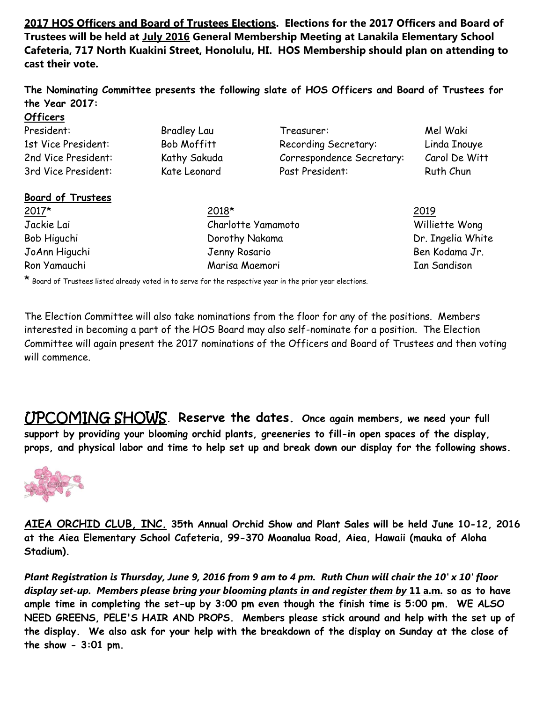**2017 HOS Officers and Board of Trustees Elections. Elections for the 2017 Officers and Board of Trustees will be held at July 2016 General Membership Meeting at Lanakila Elementary School Cafeteria, 717 North Kuakini Street, Honolulu, HI. HOS Membership should plan on attending to cast their vote.**

**The Nominating Committee presents the following slate of HOS Officers and Board of Trustees for the Year 2017:**

| <b>Officers</b>          |                    |                           |                     |
|--------------------------|--------------------|---------------------------|---------------------|
| President:               | <b>Bradley Lau</b> | Treasurer:                | Mel Waki            |
| 1st Vice President:      | Bob Moffitt        | Recording Secretary:      | Linda Inouye        |
| 2nd Vice President:      | Kathy Sakuda       | Correspondence Secretary: | Carol De Witt       |
| 3rd Vice President:      | Kate Leonard       | Past President:           | Ruth Chun           |
| <b>Board of Trustees</b> |                    |                           |                     |
| $2017*$                  | 2018*              |                           | 2019                |
| Jackie Lai               | Charlotte Yamamoto |                           | Williette Wong      |
| Bob Higuchi              | Dorothy Nakama     |                           | Dr. Ingelia White   |
| JoAnn Higuchi            | Jenny Rosario      |                           | Ben Kodama Jr.      |
| Ron Yamauchi             | Marisa Maemori     |                           | <b>Ian Sandison</b> |

\* Board of Trustees listed already voted in to serve for the respective year in the prior year elections.

The Election Committee will also take nominations from the floor for any of the positions. Members interested in becoming a part of the HOS Board may also self-nominate for a position. The Election Committee will again present the 2017 nominations of the Officers and Board of Trustees and then voting will commence.

UPCOMING SHOWS**. Reserve the dates. Once again members, we need your full support by providing your blooming orchid plants, greeneries to fill-in open spaces of the display, props, and physical labor and time to help set up and break down our display for the following shows.**



**AIEA ORCHID CLUB, INC. 35th Annual Orchid Show and Plant Sales will be held June 10-12, 2016 at the Aiea Elementary School Cafeteria, 99-370 Moanalua Road, Aiea, Hawaii (mauka of Aloha Stadium).** 

*Plant Registration is Thursday, June 9, 2016 from 9 am to 4 pm. Ruth Chun will chair the 10' x 10' floor display set-up. Members please bring your blooming plants in and register them by* **11 a.m. so as to have ample time in completing the set-up by 3:00 pm even though the finish time is 5:00 pm. WE ALSO NEED GREENS, PELE'S HAIR AND PROPS. Members please stick around and help with the set up of the display. We also ask for your help with the breakdown of the display on Sunday at the close of the show - 3:01 pm.**